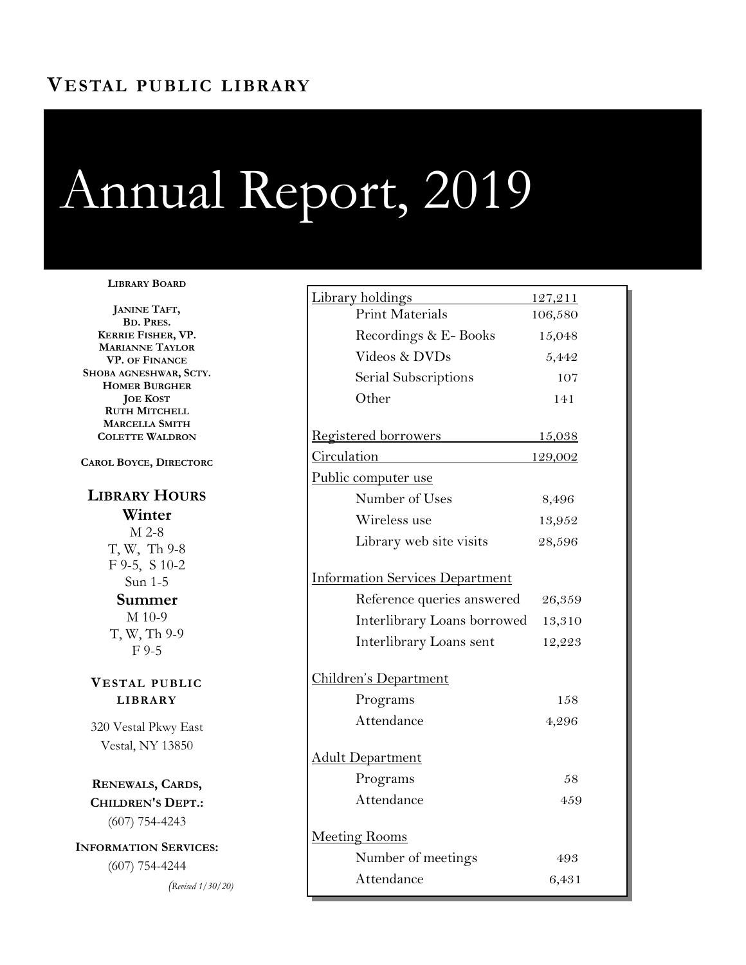# **VESTAL PUBLIC LIBRARY**

# Annual Report, 2019

#### **LIBRARY BOARD**

**JANINE TAFT, BD. PRES. KERRIE FISHER, VP. MARIANNE TAYLOR VP. OF FINANCE SHOBA AGNESHWAR, SCTY. HOMER BURGHER JOE KOST RUTH MITCHELL MARCELLA SMITH COLETTE WALDRON**

**CAROL BOYCE, DIRECTORC**

## **LIBRARY HOURS Winter** M 2-8 T, W, Th 9-8 F 9-5, S 10-2 Sun 1-5 **Summer** M 10-9 T, W, Th 9-9 F 9-5

**VESTAL PUBLIC LIBRARY**

320 Vestal Pkwy East Vestal, NY 13850

**RENEWALS, CARDS, CHILDREN'S DEPT.:**  (607) 754-4243

**INFORMATION SERVICES:**  (607) 754-4244

*(Revised 1/30/20)*

| Library holdings                       | 127,211       |
|----------------------------------------|---------------|
| <b>Print Materials</b>                 | 106,580       |
| Recordings & E-Books                   | 15,048        |
| Videos & DVDs                          | 5,442         |
| Serial Subscriptions                   | 107           |
| Other                                  | 141           |
| Registered borrowers                   | <u>15,038</u> |
| Circulation                            | 129,002       |
| Public computer use                    |               |
| Number of Uses                         | 8,496         |
| Wireless use                           | 13,952        |
| Library web site visits                | 28,596        |
| <b>Information Services Department</b> |               |
| Reference queries answered             | 26,359        |
| Interlibrary Loans borrowed            | 13,310        |
| Interlibrary Loans sent                | 12,223        |
| Children's Department                  |               |
| Programs                               | 158           |
| Attendance                             | 4,296         |
| <u> Adult Department</u>               |               |
| Programs                               | 58            |
| Attendance                             | 459           |
| Meeting Rooms                          |               |
| Number of meetings                     | 493           |
| Attendance                             | 6,431         |
|                                        |               |